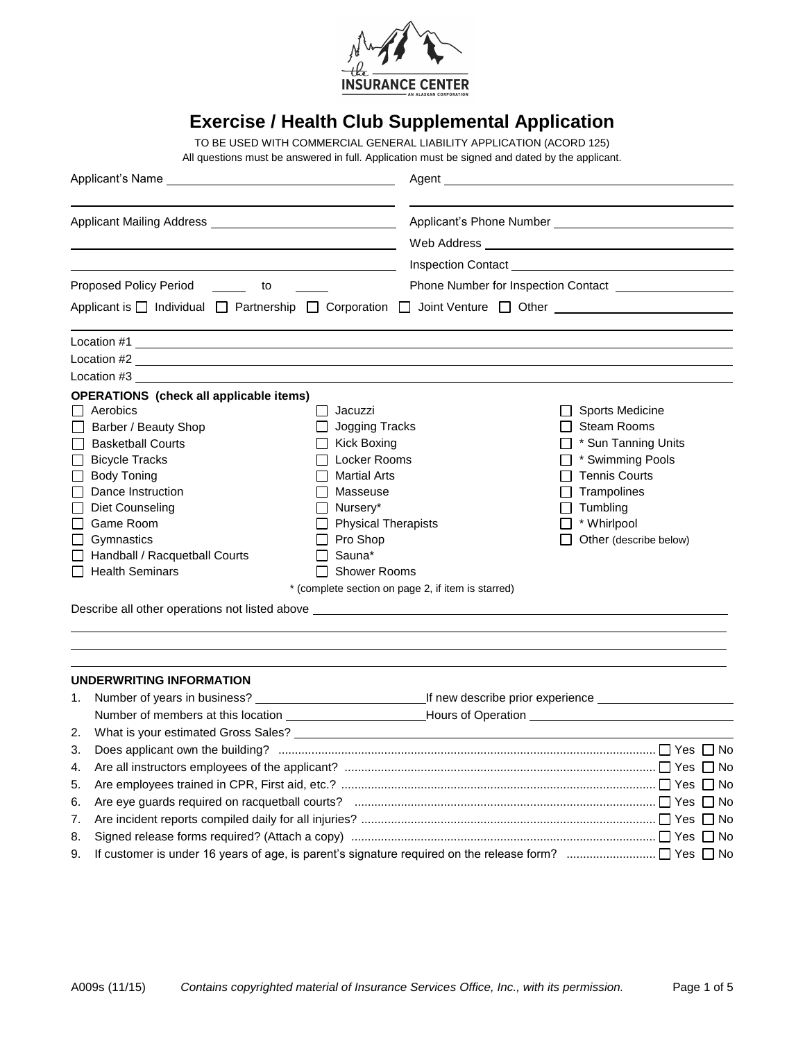

# **Exercise / Health Club Supplemental Application**

TO BE USED WITH COMMERCIAL GENERAL LIABILITY APPLICATION (ACORD 125) All questions must be answered in full. Application must be signed and dated by the applicant.

| <b>Proposed Policy Period</b><br>$\frac{1}{\sqrt{1-\frac{1}{2}}}\qquad\text{to}\qquad$                                                                                                                                                                                                                                                                                                                                                                                | Phone Number for Inspection Contact <b>CONSUMPLER</b>                                                                                                                                                                                                                   |  |  |  |
|-----------------------------------------------------------------------------------------------------------------------------------------------------------------------------------------------------------------------------------------------------------------------------------------------------------------------------------------------------------------------------------------------------------------------------------------------------------------------|-------------------------------------------------------------------------------------------------------------------------------------------------------------------------------------------------------------------------------------------------------------------------|--|--|--|
|                                                                                                                                                                                                                                                                                                                                                                                                                                                                       | Applicant is □ Individual □ Partnership □ Corporation □ Joint Venture □ Other                                                                                                                                                                                           |  |  |  |
| Location #1 and the state of the state of the state of the state of the state of the state of the state of the                                                                                                                                                                                                                                                                                                                                                        |                                                                                                                                                                                                                                                                         |  |  |  |
| Location #2                                                                                                                                                                                                                                                                                                                                                                                                                                                           |                                                                                                                                                                                                                                                                         |  |  |  |
| Location #3 and the state of the state of the state of the state of the state of the state of the state of the                                                                                                                                                                                                                                                                                                                                                        |                                                                                                                                                                                                                                                                         |  |  |  |
| <b>OPERATIONS</b> (check all applicable items)                                                                                                                                                                                                                                                                                                                                                                                                                        |                                                                                                                                                                                                                                                                         |  |  |  |
| $\Box$ Aerobics<br>Jacuzzi<br>$\mathsf{L}$<br>Jogging Tracks<br>Barber / Beauty Shop<br><b>Basketball Courts</b><br>Kick Boxing<br>Locker Rooms<br><b>Bicycle Tracks</b><br><b>Body Toning</b><br><b>Martial Arts</b><br>Dance Instruction<br>П<br>Masseuse<br>Diet Counseling<br>Nursery*<br>Game Room<br><b>Physical Therapists</b><br>Pro Shop<br>Gymnastics<br>$\Box$<br>Sauna*<br>Handball / Racquetball Courts<br>$\Box$ Health Seminars<br><b>Shower Rooms</b> | <b>Sports Medicine</b><br>□ Steam Rooms<br>$\Box$ * Sun Tanning Units<br>$\Box$ * Swimming Pools<br>$\Box$ Tennis Courts<br>$\Box$ Trampolines<br>$\Box$ Tumbling<br>$\Box$ * Whirlpool<br>Other (describe below)<br>* (complete section on page 2, if item is starred) |  |  |  |
| UNDERWRITING INFORMATION<br>1.                                                                                                                                                                                                                                                                                                                                                                                                                                        |                                                                                                                                                                                                                                                                         |  |  |  |
|                                                                                                                                                                                                                                                                                                                                                                                                                                                                       | Number of members at this location ______________________________Hours of Operation __________________________                                                                                                                                                          |  |  |  |
| What is your estimated Gross Sales? Letter and the state of the state of the state of the state of the state of the state of the state of the state of the state of the state of the state of the state of the state of the st<br>2.                                                                                                                                                                                                                                  |                                                                                                                                                                                                                                                                         |  |  |  |
| 3.                                                                                                                                                                                                                                                                                                                                                                                                                                                                    |                                                                                                                                                                                                                                                                         |  |  |  |
| 4.                                                                                                                                                                                                                                                                                                                                                                                                                                                                    |                                                                                                                                                                                                                                                                         |  |  |  |
| 5.<br>6.                                                                                                                                                                                                                                                                                                                                                                                                                                                              |                                                                                                                                                                                                                                                                         |  |  |  |
| 7.                                                                                                                                                                                                                                                                                                                                                                                                                                                                    |                                                                                                                                                                                                                                                                         |  |  |  |

8. Signed release forms required? (Attach a copy) ............................................................................................ Yes No 9. If customer is under 16 years of age, is parent's signature required on the release form?  $\ldots$  $\ldots$  $\ldots$  $\ldots$  $\ldots$  $\Box$  Yes  $\Box$  No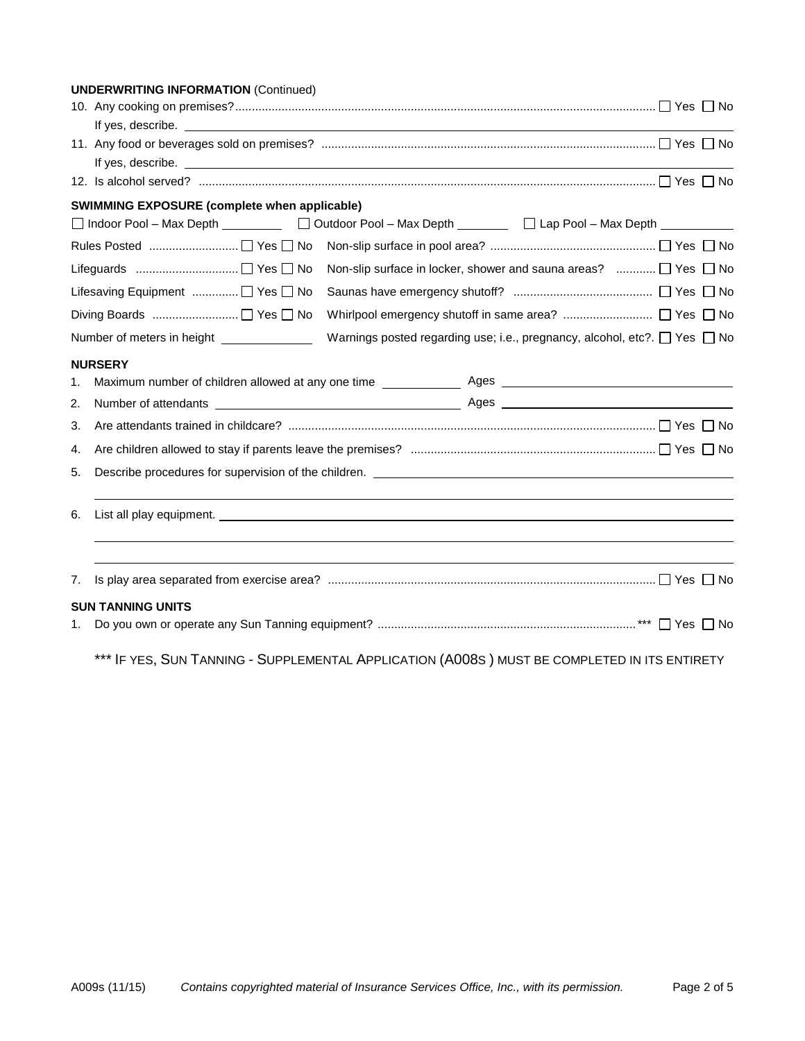|    | <b>UNDERWRITING INFORMATION (Continued)</b>                                                                                                                                                                                                    |
|----|------------------------------------------------------------------------------------------------------------------------------------------------------------------------------------------------------------------------------------------------|
|    |                                                                                                                                                                                                                                                |
|    |                                                                                                                                                                                                                                                |
|    |                                                                                                                                                                                                                                                |
|    | If yes, describe. <u>The second second second second</u> second second second second second second second second second second second second second second second second second second second second second second second second se            |
|    | 12. Is alcohol served? $\ldots$ $\ldots$ $\ldots$ $\ldots$ $\ldots$ $\ldots$ $\ldots$ $\ldots$ $\ldots$ $\ldots$ $\ldots$ $\ldots$ $\ldots$ $\ldots$ $\ldots$ $\ldots$ $\ldots$ $\ldots$ $\ldots$ $\ldots$ $\ldots$ $\ldots$ $\ldots$ $\ldots$ |
|    | SWIMMING EXPOSURE (complete when applicable)                                                                                                                                                                                                   |
|    | □ Indoor Pool - Max Depth  □ Indoor Pool - Max Depth  □ Lap Pool - Max Depth  □ Lap Pool - Max Depth  □ Lap Pool - Max Depth  □ Lap Pool - Max Depth  □ Lap Pool - Max Depth  □ Lap Pool - Max Depth  □ Lap Pool - Max Depth                   |
|    |                                                                                                                                                                                                                                                |
|    | Non-slip surface in locker, shower and sauna areas?  □ Yes □ No                                                                                                                                                                                |
|    | Lifesaving Equipment  □ Yes □ No                                                                                                                                                                                                               |
|    |                                                                                                                                                                                                                                                |
|    | Number of meters in height _______________<br>Warnings posted regarding use; i.e., pregnancy, alcohol, etc?. $\Box$ Yes $\Box$ No                                                                                                              |
|    | <b>NURSERY</b>                                                                                                                                                                                                                                 |
| 1. |                                                                                                                                                                                                                                                |
| 2. |                                                                                                                                                                                                                                                |
| 3. |                                                                                                                                                                                                                                                |
| 4. |                                                                                                                                                                                                                                                |
| 5. |                                                                                                                                                                                                                                                |
| 6. |                                                                                                                                                                                                                                                |
|    |                                                                                                                                                                                                                                                |
| 7. |                                                                                                                                                                                                                                                |
|    | <b>SUN TANNING UNITS</b>                                                                                                                                                                                                                       |
| 1. |                                                                                                                                                                                                                                                |
|    | *** IF YES, SUN TANNING - SUPPLEMENTAL APPLICATION (A008S) MUST BE COMPLETED IN ITS ENTIRETY                                                                                                                                                   |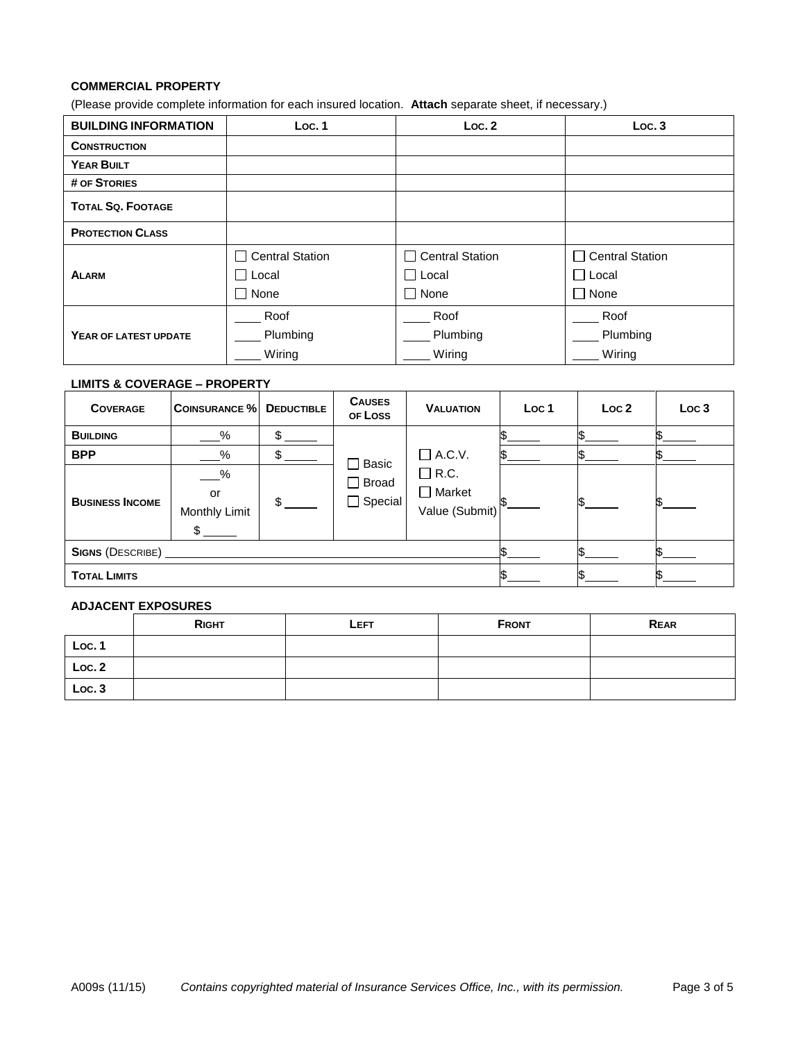### **COMMERCIAL PROPERTY**

(Please provide complete information for each insured location. **Attach** separate sheet, if necessary.)

| <b>BUILDING INFORMATION</b> | Loc.1             | Loc.2                  | Loc.3                                   |
|-----------------------------|-------------------|------------------------|-----------------------------------------|
| <b>CONSTRUCTION</b>         |                   |                        |                                         |
| <b>YEAR BUILT</b>           |                   |                        |                                         |
| # OF STORIES                |                   |                        |                                         |
| <b>TOTAL SQ. FOOTAGE</b>    |                   |                        |                                         |
| <b>PROTECTION CLASS</b>     |                   |                        |                                         |
|                             | □ Central Station | $\Box$ Central Station | <b>Central Station</b><br>$\mathcal{L}$ |
| <b>ALARM</b>                | ∃ Local           | $\Box$ Local           | $\Box$ Local                            |
|                             | $\Box$ None       | $\Box$ None            | $\Box$ None                             |
|                             | Roof              | Roof                   | Roof                                    |
| YEAR OF LATEST UPDATE       | Plumbing          | Plumbing               | Plumbing                                |
|                             | Wiring            | Wiring                 | Wiring                                  |

# **LIMITS & COVERAGE – PROPERTY**

| <b>COVERAGE</b>        | <b>COINSURANCE %</b>                               | <b>DEDUCTIBLE</b> | <b>CAUSES</b><br>OF LOSS                       | <b>VALUATION</b>                               | Loc <sub>1</sub> | Loc <sub>2</sub> | Loc <sub>3</sub> |  |
|------------------------|----------------------------------------------------|-------------------|------------------------------------------------|------------------------------------------------|------------------|------------------|------------------|--|
| <b>BUILDING</b>        | $\%$                                               |                   |                                                |                                                |                  |                  |                  |  |
| <b>BPP</b>             | %                                                  |                   | $\Box$ Basic<br>$\Box$ Broad<br>$\Box$ Special |                                                | $\Box$ A.C.V.    |                  |                  |  |
| <b>BUSINESS INCOME</b> | $-\frac{9}{6}$<br>or<br><b>Monthly Limit</b><br>\$ | \$                |                                                | $\Box$ R.C.<br>$\Box$ Market<br>Value (Submit) |                  |                  |                  |  |
| SIGNS (DESCRIBE)       |                                                    |                   |                                                |                                                |                  |                  |                  |  |
| <b>TOTAL LIMITS</b>    |                                                    |                   |                                                |                                                |                  |                  |                  |  |

#### **ADJACENT EXPOSURES**

|        | <b>RIGHT</b> | LEFT | <b>FRONT</b> | <b>REAR</b> |
|--------|--------------|------|--------------|-------------|
| Loc. 1 |              |      |              |             |
| Loc.2  |              |      |              |             |
| Loc.3  |              |      |              |             |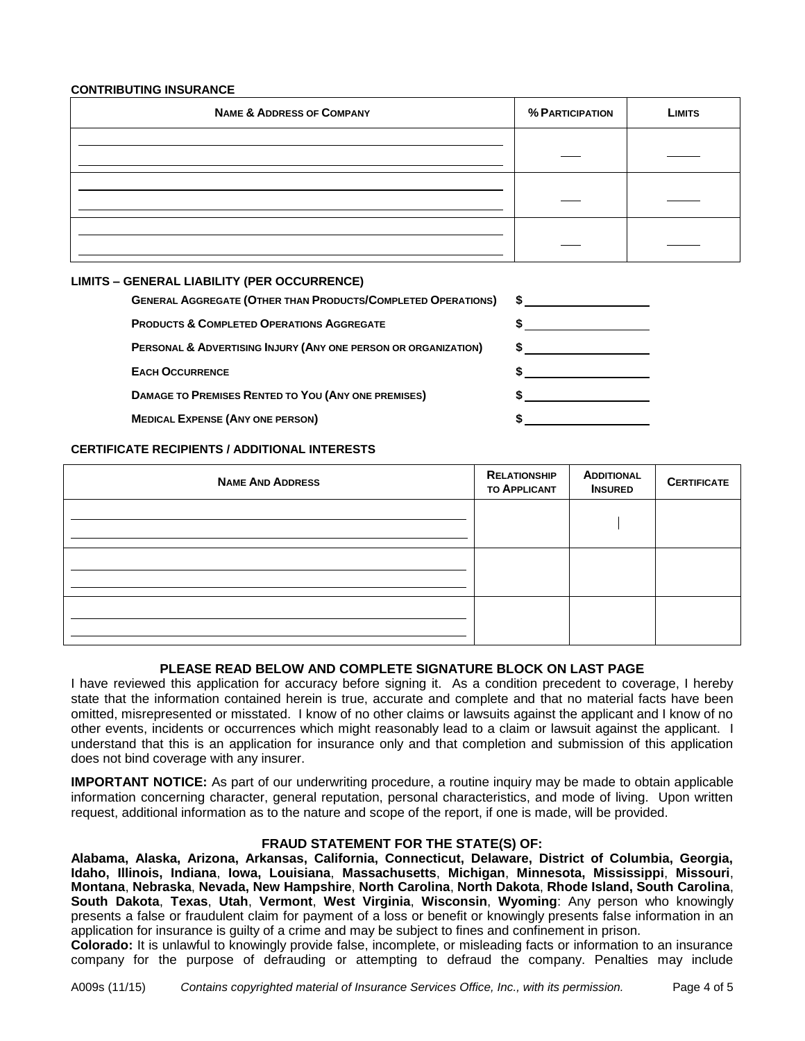#### **CONTRIBUTING INSURANCE**

| <b>NAME &amp; ADDRESS OF COMPANY</b> | % PARTICIPATION | LIMITS |
|--------------------------------------|-----------------|--------|
|                                      |                 |        |
|                                      |                 |        |
|                                      |                 |        |

# **LIMITS – GENERAL LIABILITY (PER OCCURRENCE)**

| <b>GENERAL AGGREGATE (OTHER THAN PRODUCTS/COMPLETED OPERATIONS)</b> |  |
|---------------------------------------------------------------------|--|
| <b>PRODUCTS &amp; COMPLETED OPERATIONS AGGREGATE</b>                |  |
| PERSONAL & ADVERTISING INJURY (ANY ONE PERSON OR ORGANIZATION)      |  |
| <b>EACH OCCURRENCE</b>                                              |  |
| <b>DAMAGE TO PREMISES RENTED TO YOU (ANY ONE PREMISES)</b>          |  |
| <b>MEDICAL EXPENSE (ANY ONE PERSON)</b>                             |  |
|                                                                     |  |

# **CERTIFICATE RECIPIENTS / ADDITIONAL INTERESTS**

| <b>NAME AND ADDRESS</b> | <b>RELATIONSHIP</b><br><b>TO APPLICANT</b> | <b>ADDITIONAL</b><br><b>INSURED</b> | <b>CERTIFICATE</b> |
|-------------------------|--------------------------------------------|-------------------------------------|--------------------|
|                         |                                            |                                     |                    |
|                         |                                            |                                     |                    |
|                         |                                            |                                     |                    |
|                         |                                            |                                     |                    |

# **PLEASE READ BELOW AND COMPLETE SIGNATURE BLOCK ON LAST PAGE**

I have reviewed this application for accuracy before signing it. As a condition precedent to coverage, I hereby state that the information contained herein is true, accurate and complete and that no material facts have been omitted, misrepresented or misstated. I know of no other claims or lawsuits against the applicant and I know of no other events, incidents or occurrences which might reasonably lead to a claim or lawsuit against the applicant. I understand that this is an application for insurance only and that completion and submission of this application does not bind coverage with any insurer.

**IMPORTANT NOTICE:** As part of our underwriting procedure, a routine inquiry may be made to obtain applicable information concerning character, general reputation, personal characteristics, and mode of living. Upon written request, additional information as to the nature and scope of the report, if one is made, will be provided.

# **FRAUD STATEMENT FOR THE STATE(S) OF:**

**Alabama, Alaska, Arizona, Arkansas, California, Connecticut, Delaware, District of Columbia, Georgia, Idaho, Illinois, Indiana**, **Iowa, Louisiana**, **Massachusetts**, **Michigan**, **Minnesota, Mississippi**, **Missouri**, **Montana**, **Nebraska**, **Nevada, New Hampshire**, **North Carolina**, **North Dakota**, **Rhode Island, South Carolina**, **South Dakota**, **Texas**, **Utah**, **Vermont**, **West Virginia**, **Wisconsin**, **Wyoming**: Any person who knowingly presents a false or fraudulent claim for payment of a loss or benefit or knowingly presents false information in an application for insurance is guilty of a crime and may be subject to fines and confinement in prison.

**Colorado:** It is unlawful to knowingly provide false, incomplete, or misleading facts or information to an insurance company for the purpose of defrauding or attempting to defraud the company. Penalties may include